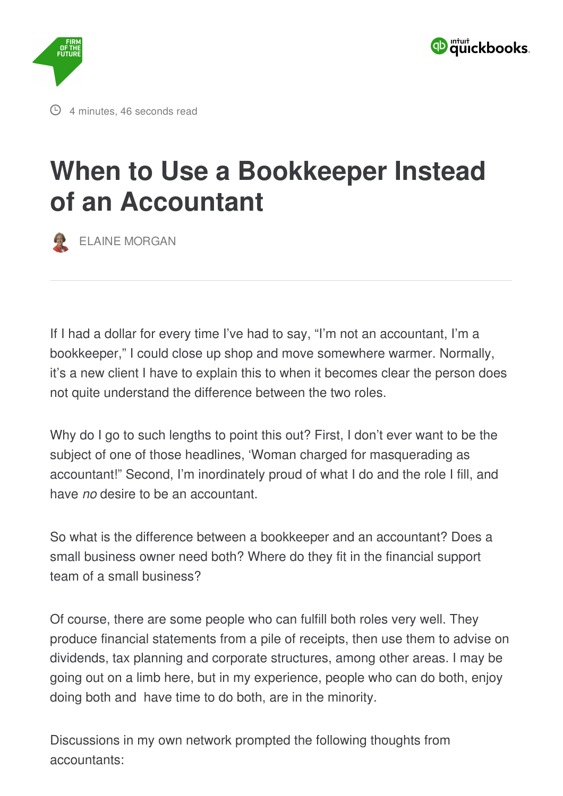



## **When to Use a [Bookkeeper](https://www.firmofthefuture.com/content/im-not-an-accountant-im-a-bookkeeper-when-to-use-a-bookkeeper/) Instead of an Accountant**

ELAINE [MORGAN](https://www.firmofthefuture.com/authors/elaine-morgan/)

If I had a dollar for every time I've had to say, "I'm not an accountant, I'm a bookkeeper," I could close up shop and move somewhere warmer. Normally, it's a new client I have to explain this to when it becomes clear the person does not quite understand the difference between the two roles.

Why do I go to such lengths to point this out? First, I don't ever want to be the subject of one of those headlines, 'Woman charged for masquerading as accountant!" Second, I'm inordinately proud of what I do and the role I fill, and have *no* desire to be an accountant.

So what is the difference between a bookkeeper and an accountant? Does a small business owner need both? Where do they fit in the financial support team of a small business?

Of course, there are some people who can fulfill both roles very well. They produce financial statements from a pile of receipts, then use them to advise on dividends, tax planning and corporate structures, among other areas. I may be going out on a limb here, but in my experience, people who can do both, enjoy doing both and have time to do both, are in the minority.

Discussions in my own network prompted the following thoughts from accountants: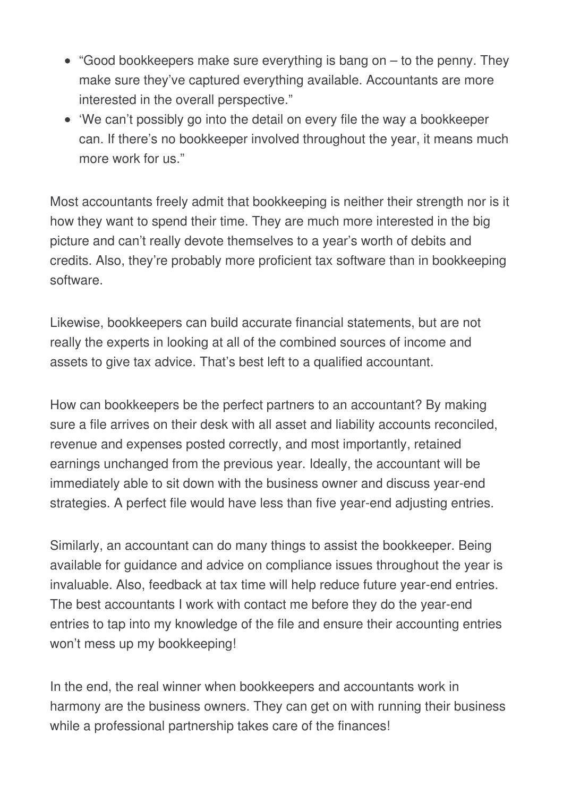- $\bullet$  "Good bookkeepers make sure everything is bang on  $-$  to the penny. They make sure they've captured everything available. Accountants are more interested in the overall perspective."
- 'We can't possibly go into the detail on every file the way a bookkeeper can. If there's no bookkeeper involved throughout the year, it means much more work for us."

Most accountants freely admit that bookkeeping is neither their strength nor is it how they want to spend their time. They are much more interested in the big picture and can't really devote themselves to a year's worth of debits and credits. Also, they're probably more proficient tax software than in bookkeeping software.

Likewise, bookkeepers can build accurate financial statements, but are not really the experts in looking at all of the combined sources of income and assets to give tax advice. That's best left to a qualified accountant.

How can bookkeepers be the perfect partners to an accountant? By making sure a file arrives on their desk with all asset and liability accounts reconciled, revenue and expenses posted correctly, and most importantly, retained earnings unchanged from the previous year. Ideally, the accountant will be immediately able to sit down with the business owner and discuss year-end strategies. A perfect file would have less than five year-end adjusting entries.

Similarly, an accountant can do many things to assist the bookkeeper. Being available for guidance and advice on compliance issues throughout the year is invaluable. Also, feedback at tax time will help reduce future year-end entries. The best accountants I work with contact me before they do the year-end entries to tap into my knowledge of the file and ensure their accounting entries won't mess up my bookkeeping!

In the end, the real winner when bookkeepers and accountants work in harmony are the business owners. They can get on with running their business while a professional partnership takes care of the finances!